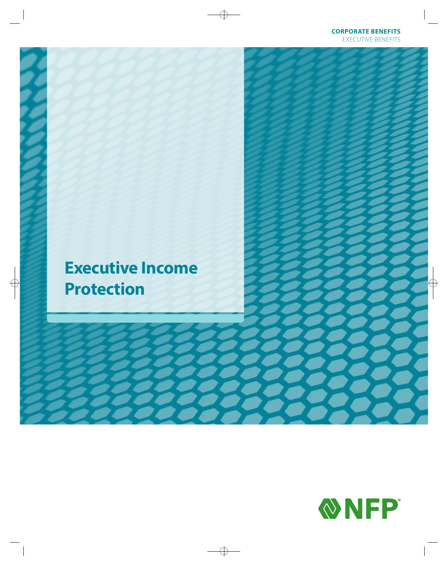## **Executive Income Protection**

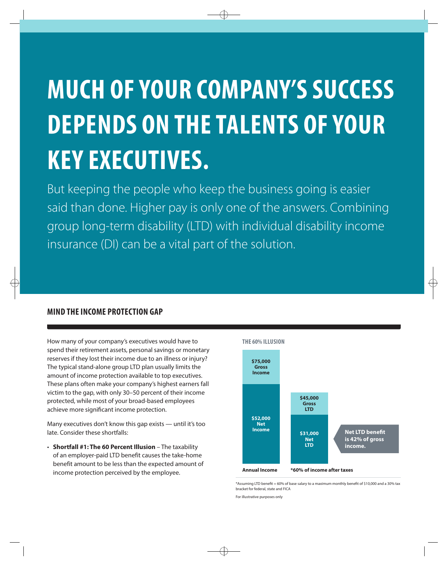# **MUCH OF YOUR COMPANY'S SUCCESS DEPENDS ON THE TALENTS OF YOUR KEY EXECUTIVES.**

But keeping the people who keep the business going is easier said than done. Higher pay is only one of the answers. Combining group long-term disability (LTD) with individual disability income insurance (DI) can be a vital part of the solution.

#### **MIND THE INCOME PROTECTION GAP**

How many of your company's executives would have to spend their retirement assets, personal savings or monetary reserves if they lost their income due to an illness or injury? The typical stand-alone group LTD plan usually limits the amount of income protection available to top executives. These plans often make your company's highest earners fall victim to the gap, with only 30-50 percent of their income protected, while most of your broad-based employees achieve more significant income protection.

Many executives don't know this gap exists - until it's too late. Consider these shortfalls:

• Shortfall #1: The 60 Percent Illusion - The taxability of an employer-paid LTD benefit causes the take-home benefit amount to be less than the expected amount of income protection perceived by the employee.



\*Assuming LTD benefit = 60% of base salary to a maximum monthly benefit of \$10,000 and a 30% tax bracket for federal, state and FICA

For illustrative purposes only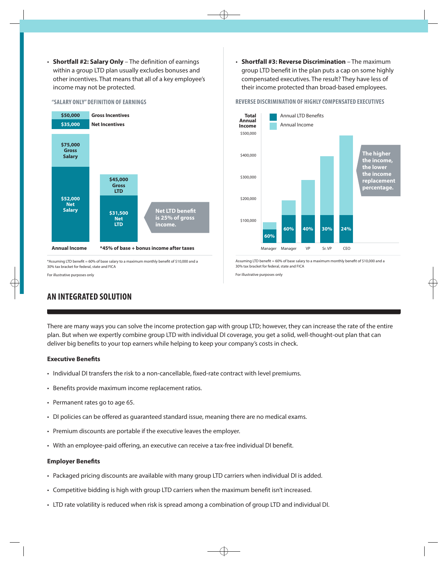- Shortfall #2: Salary Only The definition of earnings within a group LTD plan usually excludes bonuses and other incentives. That means that all of a key employee's income may not be protected.
	-

#### "SALARY ONLY" DEFINITION OF EARNINGS



\*Assuming LTD benefit = 60% of base salary to a maximum monthly benefit of \$10,000 and a 30% tax bracket for federal, state and FICA

For illustrative purposes only

• Shortfall #3: Reverse Discrimination - The maximum group LTD benefit in the plan puts a cap on some highly compensated executives. The result? They have less of their income protected than broad-based employees.

#### REVERSE DISCRIMINATION OF HIGHLY COMPENSATED EXECUTIVES



Assuming LTD benefit = 60% of base salary to a maximum monthly benefit of \$10,000 and a 30% tax bracket for federal, state and FICA

For illustrative purposes only

#### **AN INTEGRATED SOLUTION**

There are many ways you can solve the income protection gap with group LTD; however, they can increase the rate of the entire plan. But when we expertly combine group LTD with individual DI coverage, you get a solid, well-thought-out plan that can deliver big benefits to your top earners while helping to keep your company's costs in check.

#### **Executive Benefits**

- Individual DI transfers the risk to a non-cancellable, fixed-rate contract with level premiums.
- Benefits provide maximum income replacement ratios.
- Permanent rates go to age 65.
- DI policies can be offered as quaranteed standard issue, meaning there are no medical exams.
- Premium discounts are portable if the executive leaves the employer.
- With an employee-paid offering, an executive can receive a tax-free individual DI benefit.

#### **Employer Benefits**

- Packaged pricing discounts are available with many group LTD carriers when individual DI is added.
- Competitive bidding is high with group LTD carriers when the maximum benefit isn't increased.
- LTD rate volatility is reduced when risk is spread among a combination of group LTD and individual DI.